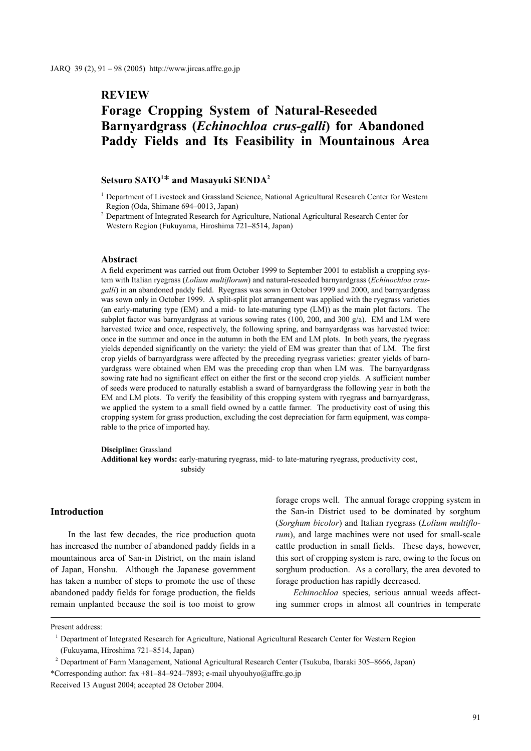# **REVIEW**

# **Forage Cropping System of Natural-Reseeded Barnyardgrass (***Echinochloa crus-galli***) for Abandoned Paddy Fields and Its Feasibility in Mountainous Area**

# **Setsuro SATO1** \* **and Masayuki SENDA2**

<sup>2</sup> Department of Integrated Research for Agriculture, National Agricultural Research Center for Western Region (Fukuyama, Hiroshima 721–8514, Japan)

#### **Abstract**

A field experiment was carried out from October 1999 to September 2001 to establish a cropping system with Italian ryegrass (*Lolium multiflorum*) and natural-reseeded barnyardgrass (*Echinochloa crusgalli*) in an abandoned paddy field. Ryegrass was sown in October 1999 and 2000, and barnyardgrass was sown only in October 1999. A split-split plot arrangement was applied with the ryegrass varieties (an early-maturing type (EM) and a mid- to late-maturing type (LM)) as the main plot factors. The subplot factor was barnyardgrass at various sowing rates (100, 200, and 300  $g/a$ ). EM and LM were harvested twice and once, respectively, the following spring, and barnyardgrass was harvested twice: once in the summer and once in the autumn in both the EM and LM plots. In both years, the ryegrass yields depended significantly on the variety: the yield of EM was greater than that of LM. The first crop yields of barnyardgrass were affected by the preceding ryegrass varieties: greater yields of barnyardgrass were obtained when EM was the preceding crop than when LM was. The barnyardgrass sowing rate had no significant effect on either the first or the second crop yields. A sufficient number of seeds were produced to naturally establish a sward of barnyardgrass the following year in both the EM and LM plots. To verify the feasibility of this cropping system with ryegrass and barnyardgrass, we applied the system to a small field owned by a cattle farmer. The productivity cost of using this cropping system for grass production, excluding the cost depreciation for farm equipment, was comparable to the price of imported hay.

#### **Discipline:** Grassland

**Additional key words:** early-maturing ryegrass, mid- to late-maturing ryegrass, productivity cost, subsidy

## **Introduction**

In the last few decades, the rice production quota has increased the number of abandoned paddy fields in a mountainous area of San-in District, on the main island of Japan, Honshu. Although the Japanese government has taken a number of steps to promote the use of these abandoned paddy fields for forage production, the fields remain unplanted because the soil is too moist to grow

forage crops well. The annual forage cropping system in the San-in District used to be dominated by sorghum (*Sorghum bicolor*) and Italian ryegrass (*Lolium multiflorum*), and large machines were not used for small-scale cattle production in small fields. These days, however, this sort of cropping system is rare, owing to the focus on sorghum production. As a corollary, the area devoted to forage production has rapidly decreased.

*Echinochloa* species, serious annual weeds affecting summer crops in almost all countries in temperate

Present address:

<sup>1</sup> Department of Integrated Research for Agriculture, National Agricultural Research Center for Western Region (Fukuyama, Hiroshima 721–8514, Japan)

<sup>2</sup> Department of Farm Management, National Agricultural Research Center (Tsukuba, Ibaraki 305–8666, Japan) \*Corresponding author: fax +81–84–924–7893; e-mail uhyouhyo@affrc.go.jp Received 13 August 2004; accepted 28 October 2004.

<sup>&</sup>lt;sup>1</sup> Department of Livestock and Grassland Science, National Agricultural Research Center for Western Region (Oda, Shimane 694–0013, Japan)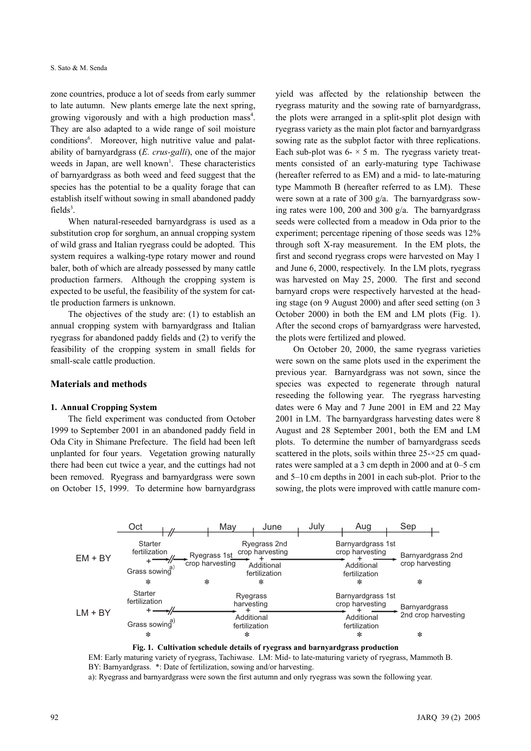zone countries, produce a lot of seeds from early summer to late autumn. New plants emerge late the next spring, growing vigorously and with a high production mass<sup>4</sup>. They are also adapted to a wide range of soil moisture conditions<sup>6</sup>. Moreover, high nutritive value and palatability of barnyardgrass (*E. crus-galli*), one of the major weeds in Japan, are well known<sup>1</sup>. These characteristics of barnyardgrass as both weed and feed suggest that the species has the potential to be a quality forage that can establish itself without sowing in small abandoned paddy  $fields<sup>3</sup>$ .

When natural-reseeded barnyardgrass is used as a substitution crop for sorghum, an annual cropping system of wild grass and Italian ryegrass could be adopted. This system requires a walking-type rotary mower and round baler, both of which are already possessed by many cattle production farmers. Although the cropping system is expected to be useful, the feasibility of the system for cattle production farmers is unknown.

The objectives of the study are: (1) to establish an annual cropping system with barnyardgrass and Italian ryegrass for abandoned paddy fields and (2) to verify the feasibility of the cropping system in small fields for small-scale cattle production.

## **Materials and methods**

#### **1. Annual Cropping System**

The field experiment was conducted from October 1999 to September 2001 in an abandoned paddy field in Oda City in Shimane Prefecture. The field had been left unplanted for four years. Vegetation growing naturally there had been cut twice a year, and the cuttings had not been removed. Ryegrass and barnyardgrass were sown on October 15, 1999. To determine how barnyardgrass yield was affected by the relationship between the ryegrass maturity and the sowing rate of barnyardgrass, the plots were arranged in a split-split plot design with ryegrass variety as the main plot factor and barnyardgrass sowing rate as the subplot factor with three replications. Each sub-plot was  $6 - \times 5$  m. The ryegrass variety treatments consisted of an early-maturing type Tachiwase (hereafter referred to as EM) and a mid- to late-maturing type Mammoth B (hereafter referred to as LM). These were sown at a rate of 300 g/a. The barnyardgrass sowing rates were 100, 200 and 300 g/a. The barnyardgrass seeds were collected from a meadow in Oda prior to the experiment; percentage ripening of those seeds was 12% through soft X-ray measurement. In the EM plots, the first and second ryegrass crops were harvested on May 1 and June 6, 2000, respectively. In the LM plots, ryegrass was harvested on May 25, 2000. The first and second barnyard crops were respectively harvested at the heading stage (on 9 August 2000) and after seed setting (on 3 October 2000) in both the EM and LM plots (Fig. 1). After the second crops of barnyardgrass were harvested, the plots were fertilized and plowed.

On October 20, 2000, the same ryegrass varieties were sown on the same plots used in the experiment the previous year. Barnyardgrass was not sown, since the species was expected to regenerate through natural reseeding the following year. The ryegrass harvesting dates were 6 May and 7 June 2001 in EM and 22 May 2001 in LM. The barnyardgrass harvesting dates were 8 August and 28 September 2001, both the EM and LM plots. To determine the number of barnyardgrass seeds scattered in the plots, soils within three 25-×25 cm quadrates were sampled at a 3 cm depth in 2000 and at 0–5 cm and 5–10 cm depths in 2001 in each sub-plot. Prior to the sowing, the plots were improved with cattle manure com-



**Fig. 1. Cultivation schedule details of ryegrass and barnyardgrass production**

EM: Early maturing variety of ryegrass, Tachiwase. LM: Mid- to late-maturing variety of ryegrass, Mammoth B. BY: Barnyardgrass. \*: Date of fertilization, sowing and/or harvesting. a): Ryegrass and barnyardgrass were sown the first autumn and only ryegrass was sown the following year.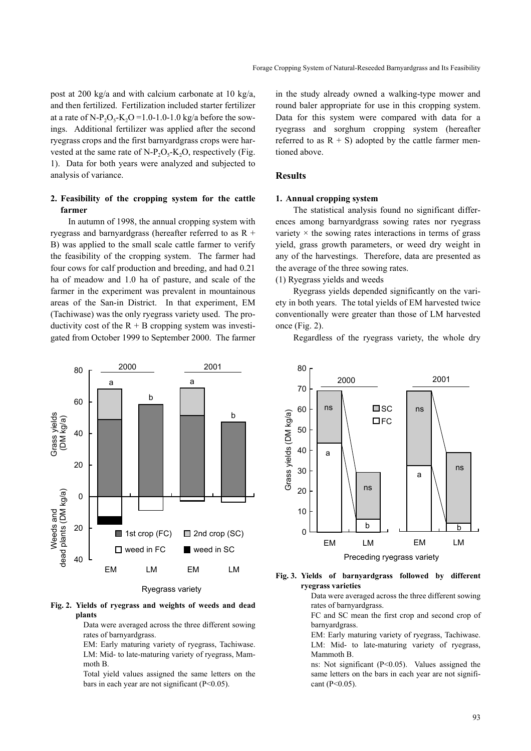post at 200 kg/a and with calcium carbonate at 10 kg/a, and then fertilized. Fertilization included starter fertilizer at a rate of N-P<sub>2</sub>O<sub>5</sub>-K<sub>2</sub>O =1.0-1.0-1.0 kg/a before the sowings. Additional fertilizer was applied after the second ryegrass crops and the first barnyardgrass crops were harvested at the same rate of N-P<sub>2</sub>O<sub>5</sub>-K<sub>2</sub>O, respectively (Fig. 1). Data for both years were analyzed and subjected to analysis of variance.

## **2. Feasibility of the cropping system for the cattle farmer**

In autumn of 1998, the annual cropping system with ryegrass and barnyardgrass (hereafter referred to as R + B) was applied to the small scale cattle farmer to verify the feasibility of the cropping system. The farmer had four cows for calf production and breeding, and had 0.21 ha of meadow and 1.0 ha of pasture, and scale of the farmer in the experiment was prevalent in mountainous areas of the San-in District. In that experiment, EM (Tachiwase) was the only ryegrass variety used. The productivity cost of the  $R + B$  cropping system was investigated from October 1999 to September 2000. The farmer in the study already owned a walking-type mower and round baler appropriate for use in this cropping system. Data for this system were compared with data for a ryegrass and sorghum cropping system (hereafter referred to as  $R + S$ ) adopted by the cattle farmer mentioned above.

## **Results**

#### **1. Annual cropping system**

The statistical analysis found no significant differences among barnyardgrass sowing rates nor ryegrass variety  $\times$  the sowing rates interactions in terms of grass yield, grass growth parameters, or weed dry weight in any of the harvestings. Therefore, data are presented as the average of the three sowing rates.

(1) Ryegrass yields and weeds

Ryegrass yields depended significantly on the variety in both years. The total yields of EM harvested twice conventionally were greater than those of LM harvested once (Fig. 2).



Regardless of the ryegrass variety, the whole dry



#### **Fig. 3. Yields of barnyardgrass followed by different ryegrass varieties**

Data were averaged across the three different sowing rates of barnyardgrass.

FC and SC mean the first crop and second crop of barnyardgrass.

EM: Early maturing variety of ryegrass, Tachiwase. LM: Mid- to late-maturing variety of ryegrass, Mammoth B.

ns: Not significant (P<0.05). Values assigned the same letters on the bars in each year are not significant (P<0.05).

**Fig. 2. Yields of ryegrass and weights of weeds and dead plants**

Data were averaged across the three different sowing rates of barnyardgrass.

EM: Early maturing variety of ryegrass, Tachiwase. LM: Mid- to late-maturing variety of ryegrass, Mammoth B.

Total yield values assigned the same letters on the bars in each year are not significant (P<0.05).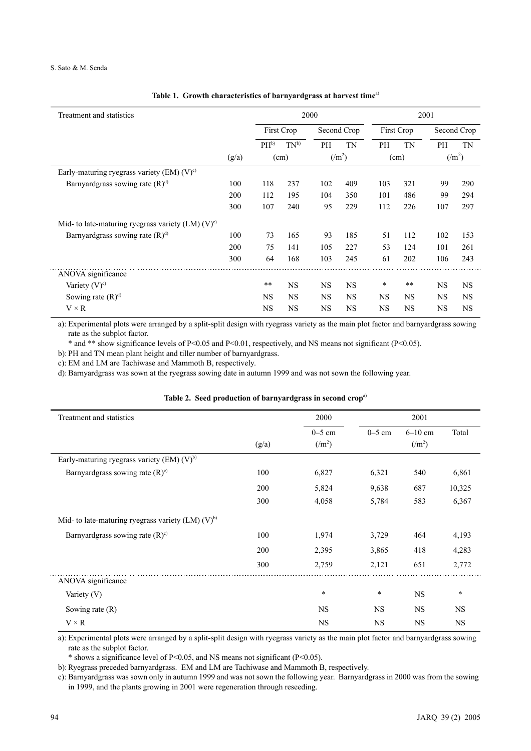| Treatment and statistics                                 |       |                 | 2000              |           | 2001           |           |            |           |                |
|----------------------------------------------------------|-------|-----------------|-------------------|-----------|----------------|-----------|------------|-----------|----------------|
|                                                          |       |                 | <b>First Crop</b> |           | Second Crop    |           | First Crop |           | Second Crop    |
|                                                          |       | PH <sup>b</sup> | $TN^{b}$          | PH        | <b>TN</b>      | PH        | <b>TN</b>  | <b>PH</b> | <b>TN</b>      |
|                                                          | (g/a) |                 | (cm)              |           | $(\text{m}^2)$ |           | (cm)       |           | $(\text{m}^2)$ |
| Early-maturing ryegrass variety (EM) $(V)$ <sup>c)</sup> |       |                 |                   |           |                |           |            |           |                |
| Barnyardgrass sowing rate $(R)^{d}$                      | 100   | 118             | 237               | 102       | 409            | 103       | 321        | 99        | 290            |
|                                                          | 200   | 112             | 195               | 104       | 350            | 101       | 486        | 99        | 294            |
|                                                          | 300   | 107             | 240               | 95        | 229            | 112       | 226        | 107       | 297            |
| Mid- to late-maturing ryegrass variety $(LM) (V)^c$      |       |                 |                   |           |                |           |            |           |                |
| Barnyardgrass sowing rate $(R)^{d}$                      | 100   | 73              | 165               | 93        | 185            | 51        | 112        | 102       | 153            |
|                                                          | 200   | 75              | 141               | 105       | 227            | 53        | 124        | 101       | 261            |
|                                                          | 300   | 64              | 168               | 103       | 245            | 61        | 202        | 106       | 243            |
| ANOVA significance                                       |       |                 |                   |           |                |           |            |           |                |
| Variety $(V)$ <sup>c)</sup>                              |       | $**$            | <b>NS</b>         | <b>NS</b> | <b>NS</b>      | $\ast$    | $***$      | <b>NS</b> | <b>NS</b>      |
| Sowing rate $(R)^d$                                      |       | <b>NS</b>       | <b>NS</b>         | <b>NS</b> | <b>NS</b>      | <b>NS</b> | <b>NS</b>  | <b>NS</b> | <b>NS</b>      |
| $V \times R$                                             |       | <b>NS</b>       | <b>NS</b>         | <b>NS</b> | <b>NS</b>      | <b>NS</b> | <b>NS</b>  | <b>NS</b> | <b>NS</b>      |

## **Table 1. Growth characteristics of barnyardgrass at harvest time**a)

a): Experimental plots were arranged by a split-split design with ryegrass variety as the main plot factor and barnyardgrass sowing rate as the subplot factor.

\* and \*\* show significance levels of P<0.05 and P<0.01, respectively, and NS means not significant (P<0.05).

b): PH and TN mean plant height and tiller number of barnyardgrass.

c): EM and LM are Tachiwase and Mammoth B, respectively.

d): Barnyardgrass was sown at the ryegrass sowing date in autumn 1999 and was not sown the following year.

| Treatment and statistics                             |       | 2000                         |           | 2001               |           |
|------------------------------------------------------|-------|------------------------------|-----------|--------------------|-----------|
|                                                      |       | $0-5$ cm                     | $0-5$ cm  | $6-10$ cm          | Total     |
|                                                      | (g/a) | $\left(\frac{m^2}{m}\right)$ |           | (lm <sup>2</sup> ) |           |
| Early-maturing ryegrass variety (EM) $(V)^{b}$       |       |                              |           |                    |           |
| Barnyardgrass sowing rate $(R)$ <sup>c)</sup>        | 100   | 6,827                        | 6,321     | 540                | 6,861     |
|                                                      | 200   | 5,824                        | 9,638     | 687                | 10,325    |
|                                                      | 300   | 4,058                        | 5,784     | 583                | 6,367     |
| Mid- to late-maturing ryegrass variety $(LM)$ $(V)b$ |       |                              |           |                    |           |
| Barnyardgrass sowing rate $(R)$ <sup>c)</sup>        | 100   | 1,974                        | 3,729     | 464                | 4,193     |
|                                                      | 200   | 2,395                        | 3,865     | 418                | 4,283     |
|                                                      | 300   | 2,759                        | 2,121     | 651                | 2,772     |
| ANOVA significance                                   |       |                              |           |                    |           |
| Variety $(V)$                                        |       | $\ast$                       | $\ast$    | <b>NS</b>          | $\ast$    |
| Sowing rate $(R)$                                    |       | NS.                          | <b>NS</b> | <b>NS</b>          | <b>NS</b> |
| $V \times R$                                         |       | <b>NS</b>                    | <b>NS</b> | <b>NS</b>          | <b>NS</b> |

|  |  |  |  | Table 2. Seed production of barnyardgrass in second crop <sup>a)</sup> |  |  |  |
|--|--|--|--|------------------------------------------------------------------------|--|--|--|
|--|--|--|--|------------------------------------------------------------------------|--|--|--|

a): Experimental plots were arranged by a split-split design with ryegrass variety as the main plot factor and barnyardgrass sowing rate as the subplot factor.

\* shows a significance level of P<0.05, and NS means not significant (P<0.05).

b): Ryegrass preceded barnyardgrass. EM and LM are Tachiwase and Mammoth B, respectively.

c): Barnyardgrass was sown only in autumn 1999 and was not sown the following year. Barnyardgrass in 2000 was from the sowing in 1999, and the plants growing in 2001 were regeneration through reseeding.

 $\overline{\phantom{a}}$ 

÷.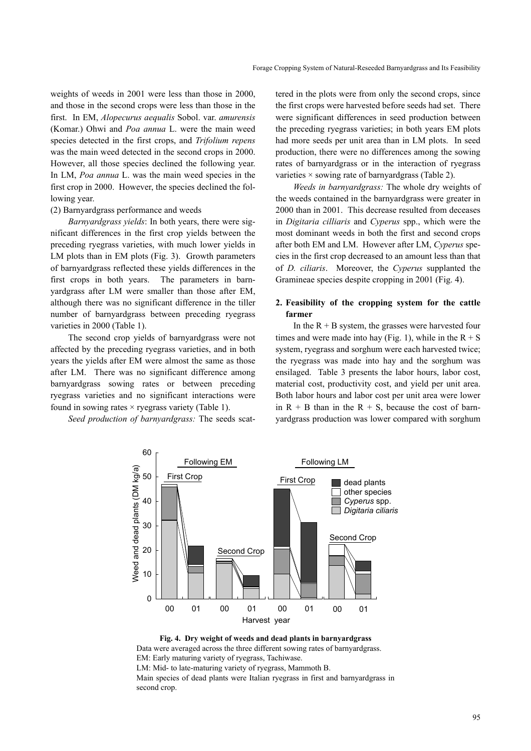weights of weeds in 2001 were less than those in 2000, and those in the second crops were less than those in the first. In EM, *Alopecurus aequalis* Sobol. var. *amurensis* (Komar.) Ohwi and *Poa annua* L. were the main weed species detected in the first crops, and *Trifolium repens* was the main weed detected in the second crops in 2000. However, all those species declined the following year. In LM, *Poa annua* L. was the main weed species in the first crop in 2000. However, the species declined the following year.

#### (2) Barnyardgrass performance and weeds

*Barnyardgrass yields*: In both years, there were significant differences in the first crop yields between the preceding ryegrass varieties, with much lower yields in LM plots than in EM plots (Fig. 3). Growth parameters of barnyardgrass reflected these yields differences in the first crops in both years. The parameters in barnyardgrass after LM were smaller than those after EM, although there was no significant difference in the tiller number of barnyardgrass between preceding ryegrass varieties in 2000 (Table 1).

The second crop yields of barnyardgrass were not affected by the preceding ryegrass varieties, and in both years the yields after EM were almost the same as those after LM. There was no significant difference among barnyardgrass sowing rates or between preceding ryegrass varieties and no significant interactions were found in sowing rates  $\times$  ryegrass variety (Table 1).

*Seed production of barnyardgrass:* The seeds scat-

tered in the plots were from only the second crops, since the first crops were harvested before seeds had set. There were significant differences in seed production between the preceding ryegrass varieties; in both years EM plots had more seeds per unit area than in LM plots. In seed production, there were no differences among the sowing rates of barnyardgrass or in the interaction of ryegrass varieties  $\times$  sowing rate of barnyardgrass (Table 2).

*Weeds in barnyardgrass:* The whole dry weights of the weeds contained in the barnyardgrass were greater in 2000 than in 2001. This decrease resulted from deceases in *Digitaria cilliaris* and *Cyperus* spp., which were the most dominant weeds in both the first and second crops after both EM and LM. However after LM, *Cyperus* species in the first crop decreased to an amount less than that of *D. ciliaris*. Moreover, the *Cyperus* supplanted the Gramineae species despite cropping in 2001 (Fig. 4).

## **2. Feasibility of the cropping system for the cattle farmer**

In the  $R + B$  system, the grasses were harvested four times and were made into hay (Fig. 1), while in the  $R + S$ system, ryegrass and sorghum were each harvested twice; the ryegrass was made into hay and the sorghum was ensilaged. Table 3 presents the labor hours, labor cost, material cost, productivity cost, and yield per unit area. Both labor hours and labor cost per unit area were lower in  $R + B$  than in the  $R + S$ , because the cost of barnyardgrass production was lower compared with sorghum



**Fig. 4. Dry weight of weeds and dead plants in barnyardgrass** Data were averaged across the three different sowing rates of barnyardgrass. EM: Early maturing variety of ryegrass, Tachiwase. LM: Mid- to late-maturing variety of ryegrass, Mammoth B. Main species of dead plants were Italian ryegrass in first and barnyardgrass in second crop.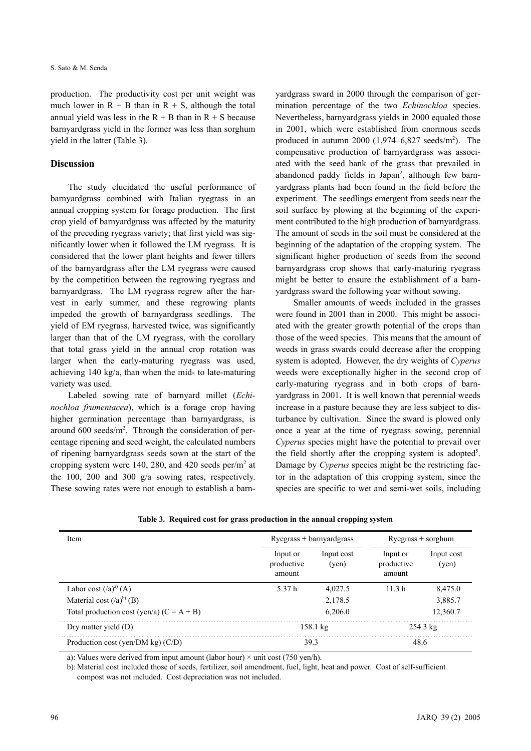production. The productivity cost per unit weight was much lower in  $R + B$  than in  $R + S$ , although the total annual yield was less in the  $R + B$  than in  $R + S$  because barnyardgrass yield in the former was less than sorghum yield in the latter (Table 3).

### **Discussion**

The study elucidated the useful performance of barnyardgrass combined with Italian ryegrass in an annual cropping system for forage production. The first crop yield of barnyardgrass was affected by the maturity of the preceding ryegrass variety; that first yield was significantly lower when it followed the LM ryegrass. It is considered that the lower plant heights and fewer tillers of the barnyardgrass after the LM ryegrass were caused by the competition between the regrowing ryegrass and barnyardgrass. The LM ryegrass regrew after the harvest in early summer, and these regrowing plants impeded the growth of barnyardgrass seedlings. The yield of EM ryegrass, harvested twice, was significantly larger than that of the LM ryegrass, with the corollary that total grass yield in the annual crop rotation was larger when the early-maturing ryegrass was used, achieving 140 kg/a, than when the mid- to late-maturing variety was used.

Labeled sowing rate of barnyard millet (*Echinochloa frumentacea*), which is a forage crop having higher germination percentage than barnyardgrass, is around  $600$  seeds/m<sup>2</sup>. Through the consideration of percentage ripening and seed weight, the calculated numbers of ripening barnyardgrass seeds sown at the start of the cropping system were 140, 280, and 420 seeds per/ $m<sup>2</sup>$  at the 100, 200 and 300 g/a sowing rates, respectively. These sowing rates were not enough to establish a barnyardgrass sward in 2000 through the comparison of germination percentage of the two *Echinochloa* species. Nevertheless, barnyardgrass yields in 2000 equaled those in 2001, which were established from enormous seeds produced in autumn 2000  $(1,974-6,827 \text{ seeds/m}^2)$ . The compensative production of barnyardgrass was associated with the seed bank of the grass that prevailed in abandoned paddy fields in Japan<sup>2</sup>, although few barnyardgrass plants had been found in the field before the experiment. The seedlings emergent from seeds near the soil surface by plowing at the beginning of the experiment contributed to the high production of barnyardgrass. The amount of seeds in the soil must be considered at the beginning of the adaptation of the cropping system. The significant higher production of seeds from the second barnyardgrass crop shows that early-maturing ryegrass might be better to ensure the establishment of a barnyardgrass sward the following year without sowing.

Smaller amounts of weeds included in the grasses were found in 2001 than in 2000. This might be associated with the greater growth potential of the crops than those of the weed species. This means that the amount of weeds in grass swards could decrease after the cropping system is adopted. However, the dry weights of *Cyperus* weeds were exceptionally higher in the second crop of early-maturing ryegrass and in both crops of barnyardgrass in 2001. It is well known that perennial weeds increase in a pasture because they are less subject to disturbance by cultivation. Since the sward is plowed only once a year at the time of ryegrass sowing, perennial *Cyperus* species might have the potential to prevail over the field shortly after the cropping system is adopted<sup>5</sup>. Damage by *Cyperus* species might be the restricting factor in the adaptation of this cropping system, since the species are specific to wet and semi-wet soils, including

| Item                                        |                                  | $Ryegrass + barnyardgrass$ | $Ryegrass + sorghum$             |                     |  |
|---------------------------------------------|----------------------------------|----------------------------|----------------------------------|---------------------|--|
|                                             | Input or<br>productive<br>amount | Input cost<br>(ven)        | Input or<br>productive<br>amount | Input cost<br>(yen) |  |
| Labor cost $(2a)^{a}$ (A)                   | 5.37 h                           | 4,027.5                    | 11.3 <sub>h</sub>                | 8,475.0             |  |
| Material cost $(2a)^{b}$ (B)                |                                  | 2,178.5                    |                                  | 3,885.7             |  |
| Total production cost (yen/a) $(C = A + B)$ |                                  | 6,206.0                    |                                  | 12,360.7            |  |
| Dry matter yield (D)                        |                                  | $158.1 \text{ kg}$         |                                  | $254.3 \text{ kg}$  |  |
| Production cost (yen/DM kg) $(C/D)$         |                                  | 39.3                       |                                  | 48.6                |  |

**Table 3. Required cost for grass production in the annual cropping system**

a): Values were derived from input amount (labor hour)  $\times$  unit cost (750 yen/h).

b): Material cost included those of seeds, fertilizer, soil amendment, fuel, light, heat and power. Cost of self-sufficient compost was not included. Cost depreciation was not included.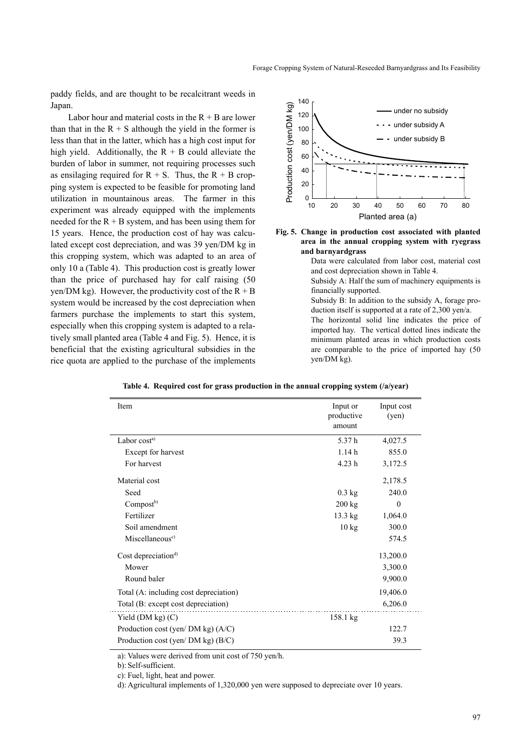paddy fields, and are thought to be recalcitrant weeds in Japan.

Labor hour and material costs in the  $R + B$  are lower than that in the  $R + S$  although the yield in the former is less than that in the latter, which has a high cost input for high yield. Additionally, the  $R + B$  could alleviate the burden of labor in summer, not requiring processes such as ensilaging required for  $R + S$ . Thus, the  $R + B$  cropping system is expected to be feasible for promoting land utilization in mountainous areas. The farmer in this experiment was already equipped with the implements needed for the  $R + B$  system, and has been using them for 15 years. Hence, the production cost of hay was calculated except cost depreciation, and was 39 yen/DM kg in this cropping system, which was adapted to an area of only 10 a (Table 4). This production cost is greatly lower than the price of purchased hay for calf raising (50 yen/DM kg). However, the productivity cost of the  $R + B$ system would be increased by the cost depreciation when farmers purchase the implements to start this system, especially when this cropping system is adapted to a relatively small planted area (Table 4 and Fig. 5). Hence, it is beneficial that the existing agricultural subsidies in the rice quota are applied to the purchase of the implements



**Fig. 5. Change in production cost associated with planted area in the annual cropping system with ryegrass and barnyardgrass**

Data were calculated from labor cost, material cost and cost depreciation shown in Table 4.

Subsidy A: Half the sum of machinery equipments is financially supported.

Subsidy B: In addition to the subsidy A, forage production itself is supported at a rate of 2,300 yen/a. The horizontal solid line indicates the price of

imported hay. The vertical dotted lines indicate the minimum planted areas in which production costs are comparable to the price of imported hay (50 yen/DM kg).

| Item                                   | Input or<br>productive<br>amount | Input cost<br>(yen) |
|----------------------------------------|----------------------------------|---------------------|
| Labor cost <sup>a)</sup>               | 5.37h                            | 4,027.5             |
| Except for harvest                     | 1.14h                            | 855.0               |
| For harvest                            | 4.23h                            | 3,172.5             |
| Material cost                          |                                  | 2,178.5             |
| Seed                                   | $0.3$ kg                         | 240.0               |
| Compost <sup>b)</sup>                  | $200$ kg                         | $\theta$            |
| Fertilizer                             | 13.3 kg                          | 1,064.0             |
| Soil amendment                         | $10 \text{ kg}$                  | 300.0               |
| Miscellaneous <sup>c)</sup>            |                                  | 574.5               |
| Cost depreciation <sup>d)</sup>        |                                  | 13,200.0            |
| Mower                                  |                                  | 3,300.0             |
| Round baler                            |                                  | 9,900.0             |
| Total (A: including cost depreciation) |                                  | 19,406.0            |
| Total (B: except cost depreciation)    |                                  | 6,206.0             |
| Yield $(DM kg)$ $(C)$                  | $158.1 \text{ kg}$               |                     |
| Production cost (yen/ DM kg) $(A/C)$   |                                  | 122.7               |
| Production cost (yen/ DM kg) (B/C)     |                                  | 39.3                |

**Table 4. Required cost for grass production in the annual cropping system (/a/year)**

a): Values were derived from unit cost of 750 yen/h.

b): Self-sufficient.

c): Fuel, light, heat and power.

d): Agricultural implements of 1,320,000 yen were supposed to depreciate over 10 years.